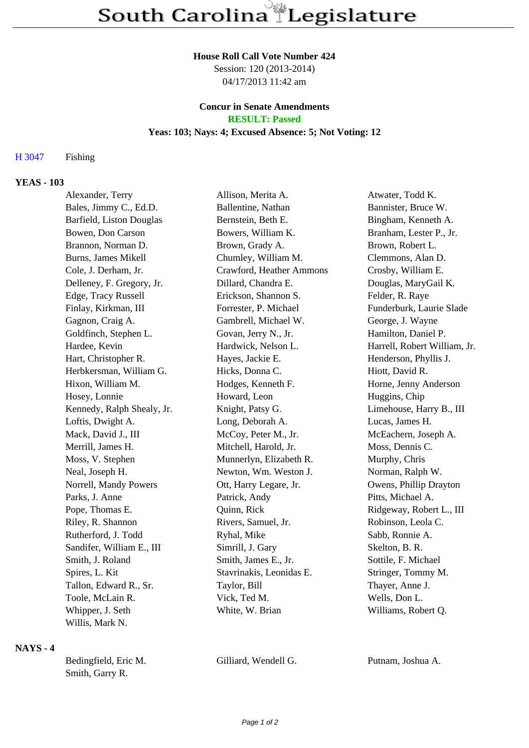#### **House Roll Call Vote Number 424**

Session: 120 (2013-2014) 04/17/2013 11:42 am

#### **Concur in Senate Amendments RESULT: Passed**

# **Yeas: 103; Nays: 4; Excused Absence: 5; Not Voting: 12**

# H 3047 Fishing

## **YEAS - 103**

| Alexander, Terry           | Allison, Merita A.       | Atwater, Todd K.             |
|----------------------------|--------------------------|------------------------------|
| Bales, Jimmy C., Ed.D.     | Ballentine, Nathan       | Bannister, Bruce W.          |
| Barfield, Liston Douglas   | Bernstein, Beth E.       | Bingham, Kenneth A.          |
| Bowen, Don Carson          | Bowers, William K.       | Branham, Lester P., Jr.      |
| Brannon, Norman D.         | Brown, Grady A.          | Brown, Robert L.             |
| Burns, James Mikell        | Chumley, William M.      | Clemmons, Alan D.            |
| Cole, J. Derham, Jr.       | Crawford, Heather Ammons | Crosby, William E.           |
| Delleney, F. Gregory, Jr.  | Dillard, Chandra E.      | Douglas, MaryGail K.         |
| Edge, Tracy Russell        | Erickson, Shannon S.     | Felder, R. Raye              |
| Finlay, Kirkman, III       | Forrester, P. Michael    | Funderburk, Laurie Slade     |
| Gagnon, Craig A.           | Gambrell, Michael W.     | George, J. Wayne             |
| Goldfinch, Stephen L.      | Govan, Jerry N., Jr.     | Hamilton, Daniel P.          |
| Hardee, Kevin              | Hardwick, Nelson L.      | Harrell, Robert William, Jr. |
| Hart, Christopher R.       | Hayes, Jackie E.         | Henderson, Phyllis J.        |
| Herbkersman, William G.    | Hicks, Donna C.          | Hiott, David R.              |
| Hixon, William M.          | Hodges, Kenneth F.       | Horne, Jenny Anderson        |
| Hosey, Lonnie              | Howard, Leon             | Huggins, Chip                |
| Kennedy, Ralph Shealy, Jr. | Knight, Patsy G.         | Limehouse, Harry B., III     |
| Loftis, Dwight A.          | Long, Deborah A.         | Lucas, James H.              |
| Mack, David J., III        | McCoy, Peter M., Jr.     | McEachern, Joseph A.         |
| Merrill, James H.          | Mitchell, Harold, Jr.    | Moss, Dennis C.              |
| Moss, V. Stephen           | Munnerlyn, Elizabeth R.  | Murphy, Chris                |
| Neal, Joseph H.            | Newton, Wm. Weston J.    | Norman, Ralph W.             |
| Norrell, Mandy Powers      | Ott, Harry Legare, Jr.   | Owens, Phillip Drayton       |
| Parks, J. Anne             | Patrick, Andy            | Pitts, Michael A.            |
| Pope, Thomas E.            | Quinn, Rick              | Ridgeway, Robert L., III     |
| Riley, R. Shannon          | Rivers, Samuel, Jr.      | Robinson, Leola C.           |
| Rutherford, J. Todd        | Ryhal, Mike              | Sabb, Ronnie A.              |
| Sandifer, William E., III  | Simrill, J. Gary         | Skelton, B. R.               |
| Smith, J. Roland           | Smith, James E., Jr.     | Sottile, F. Michael          |
| Spires, L. Kit             | Stavrinakis, Leonidas E. | Stringer, Tommy M.           |
| Tallon, Edward R., Sr.     | Taylor, Bill             | Thayer, Anne J.              |
| Toole, McLain R.           | Vick, Ted M.             | Wells, Don L.                |
| Whipper, J. Seth           | White, W. Brian          | Williams, Robert Q.          |
| Willis, Mark N.            |                          |                              |

## **NAYS - 4**

| Bedingfield, Eric M. |  |  |
|----------------------|--|--|
| Smith, Garry R.      |  |  |

Gilliard, Wendell G. Putnam, Joshua A.